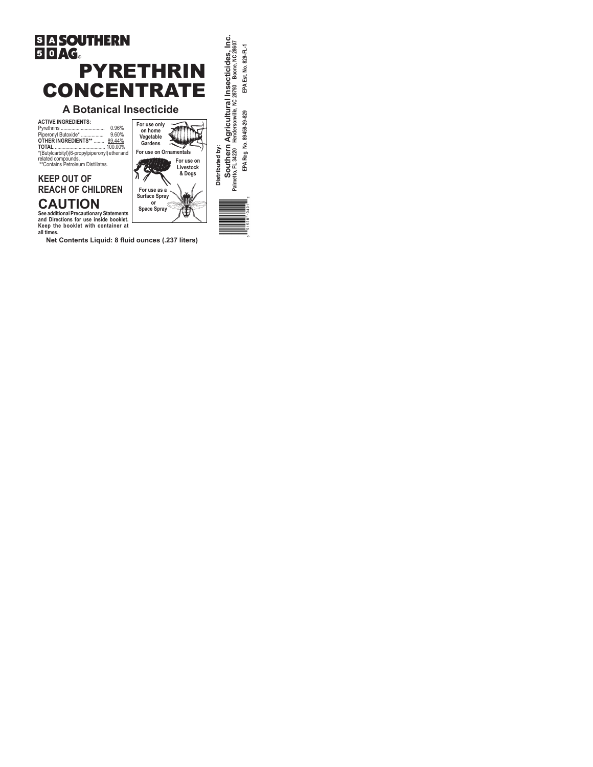

**Net Contents Liquid: 8 fluid ounces (.237 liters)**